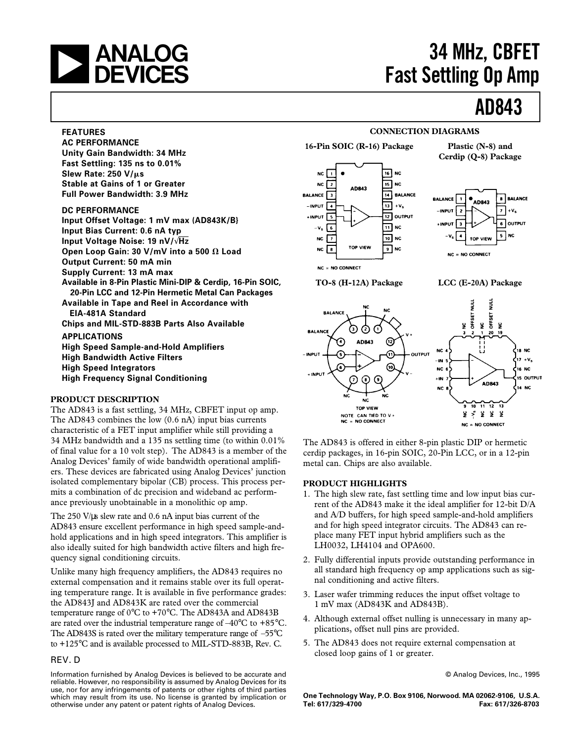

## **a ANALOG** 34 MHz, CBFET<br> **A DEVICES** Fast Settling Op Amp **Fast Settling Op Amp**

## **AD843**

### **FEATURES**

**AC PERFORMANCE Unity Gain Bandwidth: 34 MHz Fast Settling: 135 ns to 0.01% Slew Rate: 250 V/**m**s Stable at Gains of 1 or Greater Full Power Bandwidth: 3.9 MHz**

### **DC PERFORMANCE**

**Input Offset Voltage: 1 mV max (AD843K/B} Input Bias Current: 0.6 nA typ Input Voltage Noise: 19 nV/**√**Hz** Open Loop Gain: 30  $V/mV$  into a 500  $\Omega$  Load **Output Current: 50 mA min Supply Current: 13 mA max Available in 8-Pin Plastic Mini-DIP & Cerdip, 16-Pin SOIC, 20-Pin LCC and 12-Pin Hermetic Metal Can Packages Available in Tape and Reel in Accordance with EIA-481A Standard Chips and MIL-STD-883B Parts Also Available APPLICATIONS High Speed Sample-and-Hold Amplifiers High Bandwidth Active Filters High Speed Integrators**

**High Frequency Signal Conditioning**

### **PRODUCT DESCRIPTION**

The AD843 is a fast settling, 34 MHz, CBFET input op amp. The AD843 combines the low (0.6 nA) input bias currents characteristic of a FET input amplifier while still providing a 34 MHz bandwidth and a 135 ns settling time (to within 0.01% of final value for a 10 volt step). The AD843 is a member of the Analog Devices' family of wide bandwidth operational amplifiers. These devices are fabricated using Analog Devices' junction isolated complementary bipolar (CB) process. This process permits a combination of dc precision and wideband ac performance previously unobtainable in a monolithic op amp.

The 250 V/ $\mu$ s slew rate and 0.6 nA input bias current of the AD843 ensure excellent performance in high speed sample-andhold applications and in high speed integrators. This amplifier is also ideally suited for high bandwidth active filters and high frequency signal conditioning circuits.

Unlike many high frequency amplifiers, the AD843 requires no external compensation and it remains stable over its full operating temperature range. It is available in five performance grades: the AD843J and AD843K are rated over the commercial temperature range of 0°C to +70°C. The AD843A and AD843B are rated over the industrial temperature range of –40°C to +85°C. The AD843S is rated over the military temperature range of –55°C to +125°C and is available processed to MIL-STD-883B, Rev. C.

### REV. D

Information furnished by Analog Devices is believed to be accurate and reliable. However, no responsibility is assumed by Analog Devices for its use, nor for any infringements of patents or other rights of third parties which may result from its use. No license is granted by implication or otherwise under any patent or patent rights of Analog Devices.

#### **16-Pin SOIC (R-16) Package Plastic (N-8) and**  $\sqrt{16}$  NC NC  $\sqrt{1}$  $\overline{15}$  NC **NC**  $\overline{\phantom{a}}$ AD843 14 BALANCE **BALANCE** 3  $13 + V<sub>s</sub>$ - INPUT Γ 12 OUTPUT ∗імрит Гъ  $\overline{\mathbf{11}}$  NC  $-v_{\rm s}$ তি  $\overline{10}$  NC NC ł۶ TOP VIEW **NC**  $\overline{\bullet}$  NC  $\mathbf{R}$  $NC = NO$  CONNECT **TO-8 (H-12A) Package LCC (E-20A) Package**

**Cerdip (Q-8) Package**







**CONNECTION DIAGRAMS**

The AD843 is offered in either 8-pin plastic DIP or hermetic cerdip packages, in 16-pin SOIC, 20-Pin LCC, or in a 12-pin metal can. Chips are also available.

### **PRODUCT HIGHLIGHTS**

- 1. The high slew rate, fast settling time and low input bias current of the AD843 make it the ideal amplifier for 12-bit D/A and A/D buffers, for high speed sample-and-hold amplifiers and for high speed integrator circuits. The AD843 can replace many FET input hybrid amplifiers such as the LH0032, LH4104 and OPA600.
- 2. Fully differential inputs provide outstanding performance in all standard high frequency op amp applications such as signal conditioning and active filters.
- 3. Laser wafer trimming reduces the input offset voltage to 1 mV max (AD843K and AD843B).
- 4. Although external offset nulling is unnecessary in many applications, offset null pins are provided.
- 5. The AD843 does not require external compensation at closed loop gains of 1 or greater.

© Analog Devices, Inc., 1995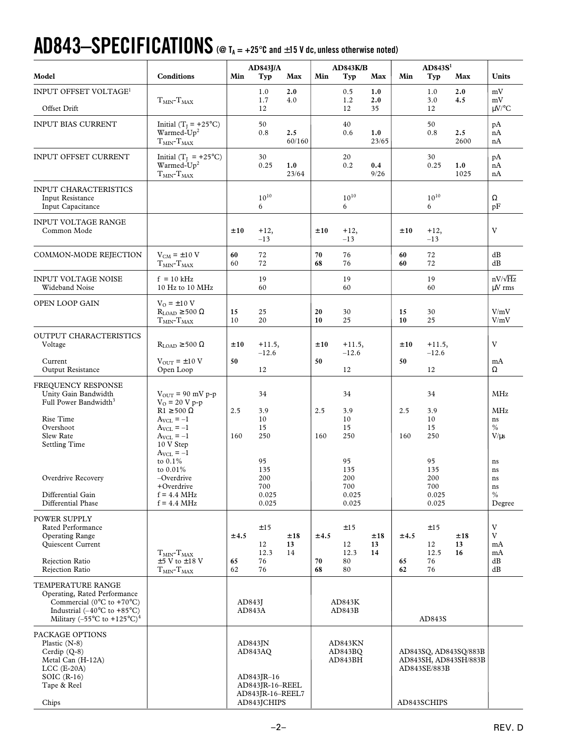# $AD843-SPECIFICATIONS$  (@  $T_A = +25^\circ$ C and  $\pm$ 15 V dc, unless otherwise noted)

| Model                                                                                                                                                                                                                 | <b>Conditions</b>                                                                                                                            | AD843J/A<br>Min<br>Typ<br>Max                                                             |                                           | <b>AD843K/B</b><br>Min<br>Typ<br>Max |                               |                                           | AD843S <sup>1</sup><br>Max<br>Min<br>Typ |                                                                               |                                           | <b>Units</b>    |                                        |
|-----------------------------------------------------------------------------------------------------------------------------------------------------------------------------------------------------------------------|----------------------------------------------------------------------------------------------------------------------------------------------|-------------------------------------------------------------------------------------------|-------------------------------------------|--------------------------------------|-------------------------------|-------------------------------------------|------------------------------------------|-------------------------------------------------------------------------------|-------------------------------------------|-----------------|----------------------------------------|
| INPUT OFFSET VOLTAGE <sup>1</sup>                                                                                                                                                                                     |                                                                                                                                              |                                                                                           |                                           |                                      |                               |                                           |                                          |                                                                               |                                           |                 |                                        |
| Offset Drift                                                                                                                                                                                                          | $TMIN$ - $TMAX$                                                                                                                              |                                                                                           | 1.0<br>1.7<br>12                          | 2.0<br>4.0                           |                               | 0.5<br>1.2<br>12                          | 1.0<br>2.0<br>35                         |                                                                               | 1.0<br>3.0<br>12                          | 2.0<br>4.5      | mV<br>mV<br>$\mu$ V/°C                 |
| <b>INPUT BIAS CURRENT</b>                                                                                                                                                                                             | Initial ( $T_I = +25$ °C)<br>Warmed- $Up2$<br>$TMIN$ - $TMAX$                                                                                |                                                                                           | 50<br>0.8                                 | 2.5<br>60/160                        |                               | 40<br>0.6                                 | 1.0<br>23/65                             |                                                                               | 50<br>0.8                                 | 2.5<br>2600     | pA<br>nA<br>nA                         |
| INPUT OFFSET CURRENT                                                                                                                                                                                                  | Initial ( $T_I$ = +25°C)<br>Warmed-Up <sup>2</sup><br>$TMIN-TMAX$                                                                            |                                                                                           | 30<br>0.25                                | 1.0<br>23/64                         |                               | 20<br>0.2                                 | 0.4<br>9/26                              |                                                                               | 30<br>0.25                                | 1.0<br>1025     | pA<br>nA<br>nA                         |
| <b>INPUT CHARACTERISTICS</b><br><b>Input Resistance</b><br>Input Capacitance                                                                                                                                          |                                                                                                                                              |                                                                                           | $10^{10}\,$<br>6                          |                                      |                               | $10^{10}\,$<br>6                          |                                          |                                                                               | $10^{10}$<br>6                            |                 | Ω<br>pF                                |
| <b>INPUT VOLTAGE RANGE</b><br>Common Mode                                                                                                                                                                             |                                                                                                                                              | ±10                                                                                       | $+12,$<br>$-13$                           |                                      | ±10                           | $+12,$<br>$-13$                           |                                          | ±10                                                                           | $+12,$<br>$-13$                           |                 | V                                      |
| COMMON-MODE REJECTION                                                                                                                                                                                                 | $V_{CM} = \pm 10 V$<br>$TMIN$ - $TMAX$                                                                                                       | 60<br>60                                                                                  | 72<br>72                                  |                                      | 70<br>68                      | 76<br>76                                  |                                          | 60<br>60                                                                      | 72<br>72                                  |                 | dB<br>dB                               |
| <b>INPUT VOLTAGE NOISE</b><br>Wideband Noise                                                                                                                                                                          | $f = 10$ kHz<br>10 Hz to 10 MHz                                                                                                              |                                                                                           | 19<br>60                                  |                                      |                               | 19<br>60                                  |                                          |                                                                               | 19<br>60                                  |                 | $nV/\sqrt{Hz}$<br>$\mu$ V rms          |
| OPEN LOOP GAIN                                                                                                                                                                                                        | $V_O = \pm 10$ V<br>$R_{LOAD} \ge 500 \Omega$<br>$TMIN$ - $TMAX$                                                                             | 15<br>10                                                                                  | 25<br>20                                  |                                      | 20<br>10                      | 30<br>25                                  |                                          | 15<br>10                                                                      | 30<br>25                                  |                 | V/mV<br>V/mV                           |
| OUTPUT CHARACTERISTICS<br>Voltage                                                                                                                                                                                     | $R_{\rm LOAD} \geq 500~\Omega$                                                                                                               | ±10                                                                                       | $+11.5,$<br>$-12.6$                       |                                      | ±10                           | $+11.5,$<br>$-12.6$                       |                                          | ±10                                                                           | $+11.5,$<br>$-12.6$                       |                 | V                                      |
| Current<br>Output Resistance                                                                                                                                                                                          | $V_{OUT} = \pm 10 V$<br>Open Loop                                                                                                            | 50                                                                                        | 12                                        |                                      | 50                            | 12                                        |                                          | 50                                                                            | 12                                        |                 | mA<br>Ω                                |
| FREQUENCY RESPONSE<br>Unity Gain Bandwidth<br>Full Power Bandwidth <sup>3</sup><br>Rise Time<br>Overshoot<br>Slew Rate<br><b>Settling Time</b>                                                                        | $V_{OUT}$ = 90 mV p-p<br>$V_0 = 20 V p - p$<br>$R1 \ge 500 \Omega$<br>$A_{\text{VCL}} = -1$<br>$A_{VCL} = -1$<br>$A_{VCL} = -1$<br>10 V Step | 2.5<br>160                                                                                | 34<br>3.9<br>10<br>15<br>250              |                                      | 2.5<br>160                    | 34<br>3.9<br>10<br>15<br>250              |                                          | 2.5<br>160                                                                    | 34<br>3.9<br>10<br>15<br>250              |                 | MHz<br>MHz<br>ns<br>$\%$<br>$V/\mu s$  |
| Overdrive Recovery<br>Differential Gain<br>Differential Phase                                                                                                                                                         | $A_{VCL} = -1$<br>to $0.1\%$<br>to 0.01%<br>-Overdrive<br>+Overdrive<br>$f = 4.4 \text{ MHz}$<br>$f = 4.4 \text{ MHz}$                       |                                                                                           | 95<br>135<br>200<br>700<br>0.025<br>0.025 |                                      |                               | 95<br>135<br>200<br>700<br>0.025<br>0.025 |                                          |                                                                               | 95<br>135<br>200<br>700<br>0.025<br>0.025 |                 | ns<br>ns<br>ns<br>ns<br>$\%$<br>Degree |
| <b>POWER SUPPLY</b><br>Rated Performance<br><b>Operating Range</b><br>Quiescent Current<br>Rejection Ratio                                                                                                            | $TMIN$ - $TMAX$<br>$\pm$ 5 V to $\pm$ 18 V                                                                                                   | ±4.5<br>65                                                                                | ±15<br>12<br>12.3<br>76                   | ±18<br>13<br>14                      | ±4.5<br>70                    | ±15<br>12<br>12.3<br>80                   | ±18<br>13<br>14                          | ±4.5<br>65                                                                    | ±15<br>12<br>12.5<br>76                   | ±18<br>13<br>16 | V<br>V<br>mA<br>mA<br>dB               |
| Rejection Ratio                                                                                                                                                                                                       | $TMIN$ - $TMAX$                                                                                                                              | 62                                                                                        | 76                                        |                                      | 68                            | 80                                        |                                          | 62                                                                            | 76                                        |                 | dB                                     |
| TEMPERATURE RANGE<br>Operating, Rated Performance<br>Commercial ( $0^{\circ}$ C to +70 $^{\circ}$ C)<br>Industrial $(-40^{\circ}$ C to $+85^{\circ}$ C)<br>Military (-55 $\rm{^{\circ}C}$ to +125 $\rm{^{\circ}C})^4$ |                                                                                                                                              | AD843J<br>AD843A                                                                          |                                           | AD843K<br>AD843B                     |                               | AD843S                                    |                                          |                                                                               |                                           |                 |                                        |
| PACKAGE OPTIONS<br>Plastic $(N-8)$<br>Cerdip $(Q-8)$<br>Metal Can (H-12A)<br>$LCC$ (E-20A)<br>SOIC $(R-16)$<br>Tape & Reel<br>Chips                                                                                   |                                                                                                                                              | $AD843$ JN<br>AD843AQ<br>AD843JR-16<br>AD843JR-16-REEL<br>AD843JR-16-REEL7<br>AD843JCHIPS |                                           |                                      | AD843KN<br>AD843BQ<br>AD843BH |                                           |                                          | AD843SQ, AD843SQ/883B<br>AD843SH, AD843SH/883B<br>AD843SE/883B<br>AD843SCHIPS |                                           |                 |                                        |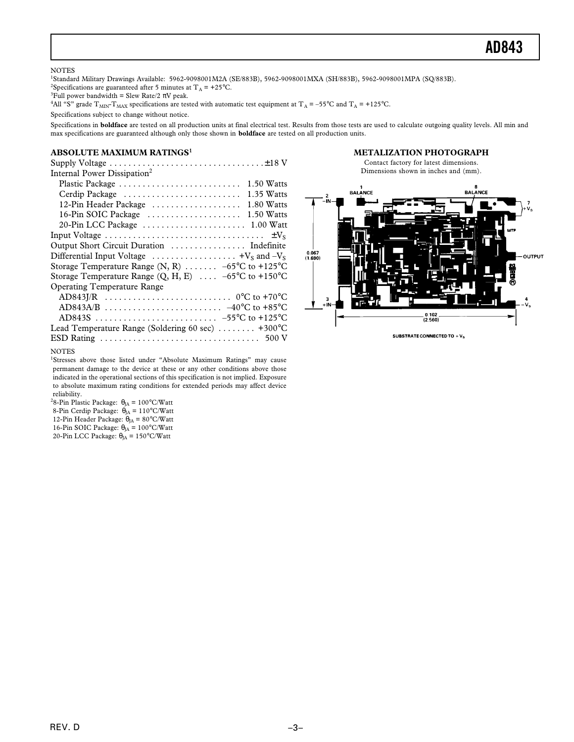### **AD843**

#### **NOTES**

1 Standard Military Drawings Available: 5962-9098001M2A (SE/883B), 5962-9098001MXA (SH/883B), 5962-9098001MPA (SQ/883B). <sup>2</sup>Specifications are guaranteed after 5 minutes at  $T_A$  = +25°C.

<sup>3</sup>Full power bandwidth = Slew Rate/2  $\pi V$  peak.

<sup>4</sup>All "S" grade  $T_{\text{MIN}}$ - $T_{\text{MAX}}$  specifications are tested with automatic test equipment at  $T_A = -55^{\circ}$ C and  $T_A = +125^{\circ}$ C.

Specifications subject to change without notice.

Specifications in **boldface** are tested on all production units at final electrical test. Results from those tests are used to calculate outgoing quality levels. All min and max specifications are guaranteed although only those shown in **boldface** are tested on all production units.

### **ABSOLUTE MAXIMUM RATINGS<sup>1</sup>**

Supply Voltage . . . . . . . . . . . . . . . . . . . . . . . . . . . . . . . . .±18 V Internal Power Dissipation<sup>2</sup>

| Plastic Package                                                                  | $1.50$ Watts |
|----------------------------------------------------------------------------------|--------------|
| Cerdip Package                                                                   | 1.35 Watts   |
| 12-Pin Header Package                                                            | 1.80 Watts   |
| 16-Pin SOIC Package                                                              | 1.50 Watts   |
|                                                                                  |              |
|                                                                                  |              |
|                                                                                  |              |
| Differential Input Voltage $\dots \dots \dots \dots \dots \dots +V_S$ and $-V_S$ |              |
| Storage Temperature Range (N, R) $\ldots \ldots -65$ °C to +125°C                |              |
| Storage Temperature Range $(Q, H, E)$ -65°C to +150°C                            |              |
| <b>Operating Temperature Range</b>                                               |              |
|                                                                                  |              |
|                                                                                  |              |
|                                                                                  |              |
| Lead Temperature Range (Soldering 60 sec) $\dots \dots$ +300°C                   |              |
|                                                                                  |              |
|                                                                                  |              |

#### **METALIZATION PHOTOGRAPH**





SUBSTRATE CONNECTED TO +  $\mathsf{V}_\mathbf{S}$ 

#### NOTES

<sup>1</sup>Stresses above those listed under "Absolute Maximum Ratings" may cause permanent damage to the device at these or any other conditions above those indicated in the operational sections of this specification is not implied. Exposure to absolute maximum rating conditions for extended periods may affect device reliability.

<sup>2</sup>8-Pin Plastic Package:  $\theta_{JA} = 100^{\circ}$ C/Watt 8-Pin Cerdip Package:  $\dot{\theta}_{JA} = 110^{\circ}$ C/Watt 12-Pin Header Package:  $\theta_{JA} = 80^{\circ}$ C/Watt 16-Pin SOIC Package:  $\theta_{JA} = 100^{\circ}$ C/Watt 20-Pin LCC Package:  $\theta_{JA}$  = 150°C/Watt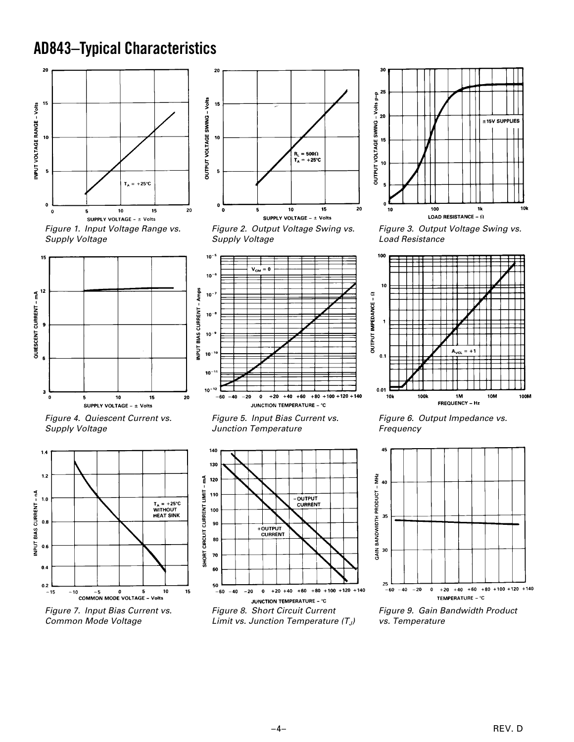## **AD843–Typical Characteristics**









Figure 2. Output Voltage Swing vs. Supply Voltage



Figure 4. Quiescent Current vs. Supply Voltage



Figure 7. Input Bias Current vs. Common Mode Voltage

Figure 5. Input Bias Current vs. Junction Temperature





Figure 3. Output Voltage Swing vs. Load Resistance



Figure 6. Output Impedance vs. Frequency



Figure 9. Gain Bandwidth Product vs. Temperature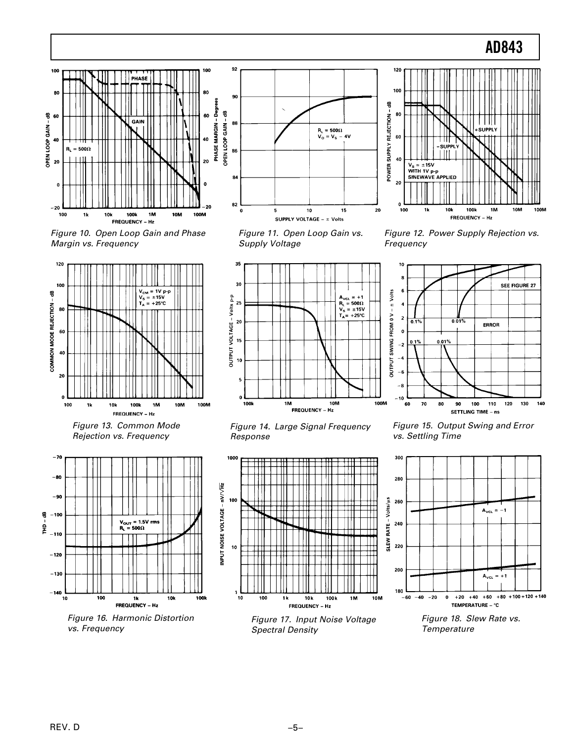

Figure 10. Open Loop Gain and Phase Margin vs. Frequency



Figure 13. Common Mode Rejection vs. Frequency



Figure 16. Harmonic Distortion vs. Frequency



Figure 11. Open Loop Gain vs. Supply Voltage



Figure 12. Power Supply Rejection vs. Frequency



Figure 14. Large Signal Frequency Response



Figure 17. Input Noise Voltage Spectral Density



Figure 15. Output Swing and Error vs. Settling Time



Figure 18. Slew Rate vs. Temperature

REV. D  $-5-$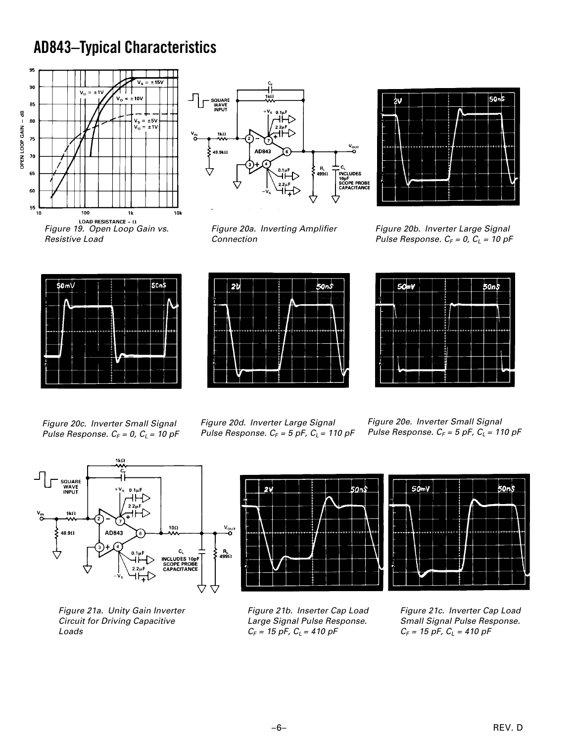## **AD843–Typical Characteristics**





Figure 20a. Inverting Amplifier Connection



Figure 20b. Inverter Large Signal Pulse Response.  $C_F = 0$ ,  $C_L = 10$  pF







Figure 20c. Inverter Small Signal Pulse Response.  $C_F = 0$ ,  $C_L = 10$  pF



Figure 20e. Inverter Small Signal Pulse Response.  $C_F = 5$  pF,  $C_L = 110$  pF



Figure 21a. Unity Gain Inverter Circuit for Driving Capacitive Loads





Figure 21b. Inserter Cap Load Large Signal Pulse Response.  $C_F = 15$  pF,  $C_L = 410$  pF

Figure 21c. Inverter Cap Load Small Signal Pulse Response.  $C_F = 15$  pF,  $C_L = 410$  pF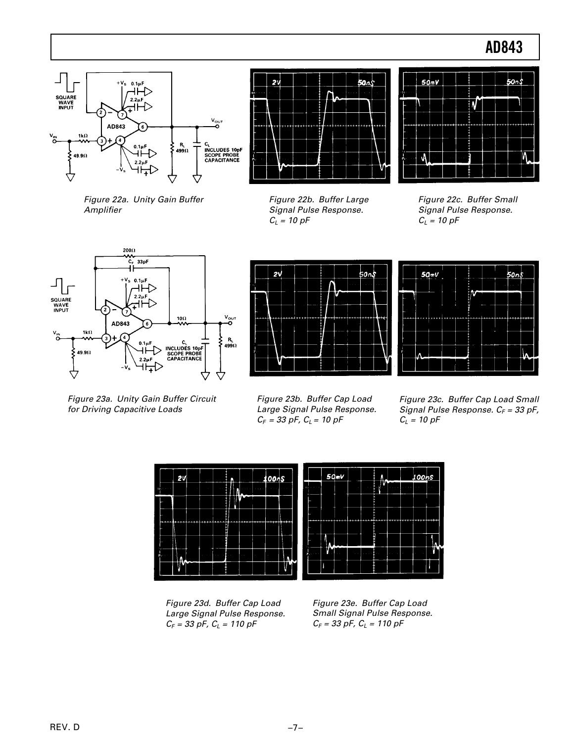### **AD843**



Figure 22a. Unity Gain Buffer Amplifier



Ŋ Ŵ

 $50mV$ 



Figure 23a. Unity Gain Buffer Circuit for Driving Capacitive Loads



Figure 22c. Buffer Small Signal Pulse Response.  $C_L = 10 pF$ 





Figure 23b. Buffer Cap Load Large Signal Pulse Response.  $C_F = 33$  pF,  $C_L = 10$  pF

Figure 23c. Buffer Cap Load Small Signal Pulse Response.  $C_F = 33$  pF,  $C_L = 10 \text{ pF}$ 



Figure 23d. Buffer Cap Load Large Signal Pulse Response.  $C_F = 33$  pF,  $C_L = 110$  pF

Figure 23e. Buffer Cap Load Small Signal Pulse Response.  $C_F = 33$  pF,  $C_L = 110$  pF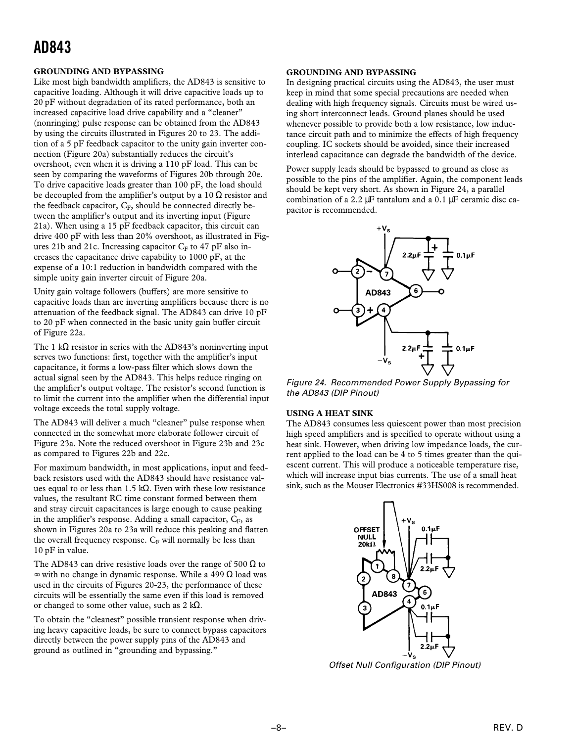## **AD843**

### **GROUNDING AND BYPASSING**

Like most high bandwidth amplifiers, the AD843 is sensitive to capacitive loading. Although it will drive capacitive loads up to 20 pF without degradation of its rated performance, both an increased capacitive load drive capability and a "cleaner" (nonringing) pulse response can be obtained from the AD843 by using the circuits illustrated in Figures 20 to 23. The addition of a 5 pF feedback capacitor to the unity gain inverter connection (Figure 20a) substantially reduces the circuit's overshoot, even when it is driving a 110 pF load. This can be seen by comparing the waveforms of Figures 20b through 20e. To drive capacitive loads greater than 100 pF, the load should be decoupled from the amplifier's output by a 10  $\Omega$  resistor and the feedback capacitor, CF, should be connected directly between the amplifier's output and its inverting input (Figure 21a). When using a 15 pF feedback capacitor, this circuit can drive 400 pF with less than 20% overshoot, as illustrated in Figures 21b and 21c. Increasing capacitor  $C_F$  to 47 pF also increases the capacitance drive capability to 1000 pF, at the expense of a 10:1 reduction in bandwidth compared with the simple unity gain inverter circuit of Figure 20a.

Unity gain voltage followers (buffers) are more sensitive to capacitive loads than are inverting amplifiers because there is no attenuation of the feedback signal. The AD843 can drive 10 pF to 20 pF when connected in the basic unity gain buffer circuit of Figure 22a.

The 1 kΩ resistor in series with the AD843's noninverting input serves two functions: first, together with the amplifier's input capacitance, it forms a low-pass filter which slows down the actual signal seen by the AD843. This helps reduce ringing on the amplifier's output voltage. The resistor's second function is to limit the current into the amplifier when the differential input voltage exceeds the total supply voltage.

The AD843 will deliver a much "cleaner" pulse response when connected in the somewhat more elaborate follower circuit of Figure 23a. Note the reduced overshoot in Figure 23b and 23c as compared to Figures 22b and 22c.

For maximum bandwidth, in most applications, input and feedback resistors used with the AD843 should have resistance values equal to or less than 1.5 kΩ. Even with these low resistance values, the resultant RC time constant formed between them and stray circuit capacitances is large enough to cause peaking in the amplifier's response. Adding a small capacitor,  $C_F$ , as shown in Figures 20a to 23a will reduce this peaking and flatten the overall frequency response.  $C_F$  will normally be less than 10 pF in value.

The AD843 can drive resistive loads over the range of 500  $\Omega$  to  $\infty$  with no change in dynamic response. While a 499  $\Omega$  load was used in the circuits of Figures 20-23, the performance of these circuits will be essentially the same even if this load is removed or changed to some other value, such as 2 k $\Omega$ .

To obtain the "cleanest" possible transient response when driving heavy capacitive loads, be sure to connect bypass capacitors directly between the power supply pins of the AD843 and ground as outlined in "grounding and bypassing."

### **GROUNDING AND BYPASSING**

In designing practical circuits using the AD843, the user must keep in mind that some special precautions are needed when dealing with high frequency signals. Circuits must be wired using short interconnect leads. Ground planes should be used whenever possible to provide both a low resistance, low inductance circuit path and to minimize the effects of high frequency coupling. IC sockets should be avoided, since their increased interlead capacitance can degrade the bandwidth of the device.

Power supply leads should be bypassed to ground as close as possible to the pins of the amplifier. Again, the component leads should be kept very short. As shown in Figure 24, a parallel combination of a 2.2  $\mu$ F tantalum and a 0.1  $\mu$ F ceramic disc capacitor is recommended.



Figure 24. Recommended Power Supply Bypassing for the AD843 (DIP Pinout)

### **USING A HEAT SINK**

The AD843 consumes less quiescent power than most precision high speed amplifiers and is specified to operate without using a heat sink. However, when driving low impedance loads, the current applied to the load can be 4 to 5 times greater than the quiescent current. This will produce a noticeable temperature rise, which will increase input bias currents. The use of a small heat sink, such as the Mouser Electronics #33HS008 is recommended.



Offset Null Configuration (DIP Pinout)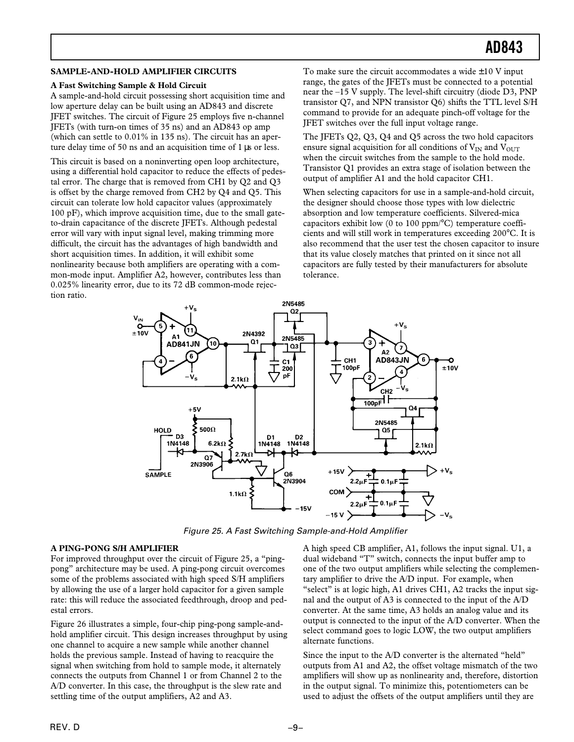### **SAMPLE-AND-HOLD AMPLIFIER CIRCUITS**

### **A Fast Switching Sample & Hold Circuit**

A sample-and-hold circuit possessing short acquisition time and low aperture delay can be built using an AD843 and discrete JFET switches. The circuit of Figure 25 employs five n-channel JFETs (with turn-on times of 35 ns) and an AD843 op amp (which can settle to 0.01% in 135 ns). The circuit has an aperture delay time of 50 ns and an acquisition time of 1 µs or less.

This circuit is based on a noninverting open loop architecture, using a differential hold capacitor to reduce the effects of pedestal error. The charge that is removed from CH1 by Q2 and Q3 is offset by the charge removed from CH2 by Q4 and Q5. This circuit can tolerate low hold capacitor values (approximately  $100 \text{ pF}$ , which improve acquisition time, due to the small gateto-drain capacitance of the discrete JFETs. Although pedestal error will vary with input signal level, making trimming more difficult, the circuit has the advantages of high bandwidth and short acquisition times. In addition, it will exhibit some nonlinearity because both amplifiers are operating with a common-mode input. Amplifier A2, however, contributes less than 0.025% linearity error, due to its 72 dB common-mode rejection ratio.

To make sure the circuit accommodates a wide  $\pm 10$  V input range, the gates of the JFETs must be connected to a potential near the –15 V supply. The level-shift circuitry (diode D3, PNP transistor Q7, and NPN transistor Q6) shifts the TTL level S/H command to provide for an adequate pinch-off voltage for the JFET switches over the full input voltage range.

The JFETs Q2, Q3, Q4 and Q5 across the two hold capacitors ensure signal acquisition for all conditions of  $V_{IN}$  and  $V_{OUT}$ when the circuit switches from the sample to the hold mode. Transistor Q1 provides an extra stage of isolation between the output of amplifier A1 and the hold capacitor CH1.

When selecting capacitors for use in a sample-and-hold circuit, the designer should choose those types with low dielectric absorption and low temperature coefficients. Silvered-mica capacitors exhibit low (0 to 100 ppm/°C) temperature coefficients and will still work in temperatures exceeding 200°C. It is also recommend that the user test the chosen capacitor to insure that its value closely matches that printed on it since not all capacitors are fully tested by their manufacturers for absolute tolerance.



Figure 25. A Fast Switching Sample-and-Hold Amplifier

### **A PING-PONG S/H AMPLIFIER**

For improved throughput over the circuit of Figure 25, a "pingpong" architecture may be used. A ping-pong circuit overcomes some of the problems associated with high speed S/H amplifiers by allowing the use of a larger hold capacitor for a given sample rate: this will reduce the associated feedthrough, droop and pedestal errors.

Figure 26 illustrates a simple, four-chip ping-pong sample-andhold amplifier circuit. This design increases throughput by using one channel to acquire a new sample while another channel holds the previous sample. Instead of having to reacquire the signal when switching from hold to sample mode, it alternately connects the outputs from Channel 1 or from Channel 2 to the A/D converter. In this case, the throughput is the slew rate and settling time of the output amplifiers, A2 and A3.

A high speed CB amplifier, A1, follows the input signal. U1, a dual wideband "T" switch, connects the input buffer amp to one of the two output amplifiers while selecting the complementary amplifier to drive the A/D input. For example, when "select" is at logic high, A1 drives CH1, A2 tracks the input signal and the output of A3 is connected to the input of the A/D converter. At the same time, A3 holds an analog value and its output is connected to the input of the A/D converter. When the select command goes to logic LOW, the two output amplifiers alternate functions.

Since the input to the A/D converter is the alternated "held" outputs from A1 and A2, the offset voltage mismatch of the two amplifiers will show up as nonlinearity and, therefore, distortion in the output signal. To minimize this, potentiometers can be used to adjust the offsets of the output amplifiers until they are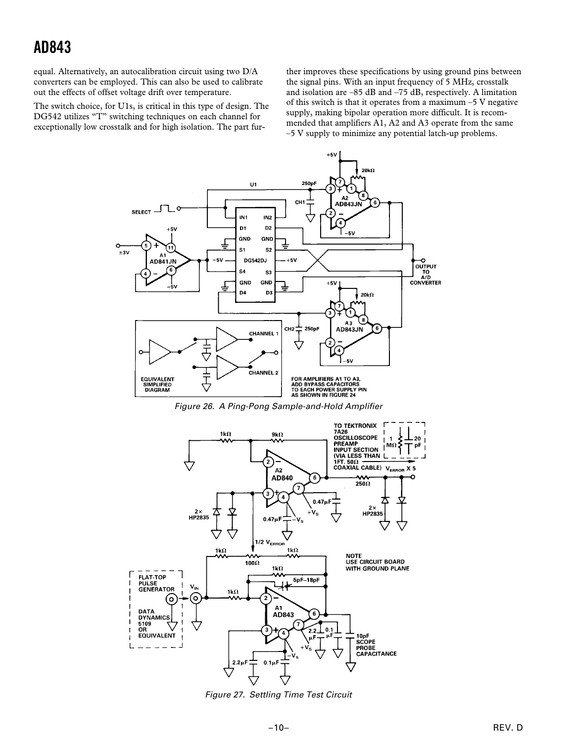equal. Alternatively, an autocalibration circuit using two D/A converters can be employed. This can also be used to calibrate out the effects of offset voltage drift over temperature.

The switch choice, for U1s, is critical in this type of design. The DG542 utilizes "T" switching techniques on each channel for exceptionally low crosstalk and for high isolation. The part fur-

ther improves these specifications by using ground pins between the signal pins. With an input frequency of 5 MHz, crosstalk and isolation are –85 dB and –75 dB, respectively. A limitation of this switch is that it operates from a maximum –5 V negative supply, making bipolar operation more difficult. It is recommended that amplifiers A1, A2 and A3 operate from the same –5 V supply to minimize any potential latch-up problems.



Figure 26. A Ping-Pong Sample-and-Hold Amplifier



Figure 27. Settling Time Test Circuit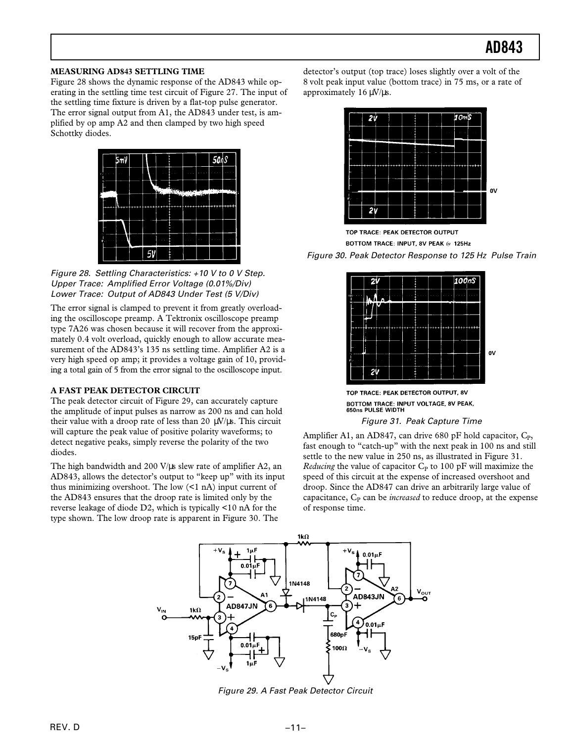### **MEASURING AD843 SETTLING TIME**

Figure 28 shows the dynamic response of the AD843 while operating in the settling time test circuit of Figure 27. The input of the settling time fixture is driven by a flat-top pulse generator. The error signal output from A1, the AD843 under test, is amplified by op amp A2 and then clamped by two high speed Schottky diodes.



Figure 28. Settling Characteristics: +10 V to 0 V Step. Upper Trace: Amplified Error Voltage (0.01%/Div) Lower Trace: Output of AD843 Under Test (5 V/Div)

The error signal is clamped to prevent it from greatly overloading the oscilloscope preamp. A Tektronix oscilloscope preamp type 7A26 was chosen because it will recover from the approximately 0.4 volt overload, quickly enough to allow accurate measurement of the AD843's 135 ns settling time. Amplifier A2 is a very high speed op amp; it provides a voltage gain of 10, providing a total gain of 5 from the error signal to the oscilloscope input.

### **A FAST PEAK DETECTOR CIRCUIT**

The peak detector circuit of Figure 29, can accurately capture the amplitude of input pulses as narrow as 200 ns and can hold their value with a droop rate of less than 20  $\mu$ V/ $\mu$ s. This circuit will capture the peak value of positive polarity waveforms; to detect negative peaks, simply reverse the polarity of the two diodes.

The high bandwidth and 200 V/µs slew rate of amplifier A2, an AD843, allows the detector's output to "keep up" with its input thus minimizing overshoot. The low (<1 nA) input current of the AD843 ensures that the droop rate is limited only by the reverse leakage of diode D2, which is typically <10 nA for the type shown. The low droop rate is apparent in Figure 30. The

detector's output (top trace) loses slightly over a volt of the 8 volt peak input value (bottom trace) in 75 ms, or a rate of approximately  $16 \mu V/\mu s$ .



TOP TRACE: PEAK DETECTOR OUTPUT BOTTOM TRACE: INPUT, 8V PEAK @ 125Hz Figure 30. Peak Detector Response to 125 Hz Pulse Train



TOP TRACE: PEAK DETECTOR OUTPUT, 8V BOTTOM TRACE: INPUT VOLTAGE, 8V PEAK, 650ns PULSE WIDTH

Figure 31. Peak Capture Time

Amplifier A1, an AD847, can drive 680 pF hold capacitor,  $C_P$ , fast enough to "catch-up" with the next peak in 100 ns and still settle to the new value in 250 ns, as illustrated in Figure 31. *Reducing* the value of capacitor  $C_P$  to 100 pF will maximize the speed of this circuit at the expense of increased overshoot and droop. Since the AD847 can drive an arbitrarily large value of capacitance, C<sub>P</sub> can be *increased* to reduce droop, at the expense of response time.



Figure 29. A Fast Peak Detector Circuit